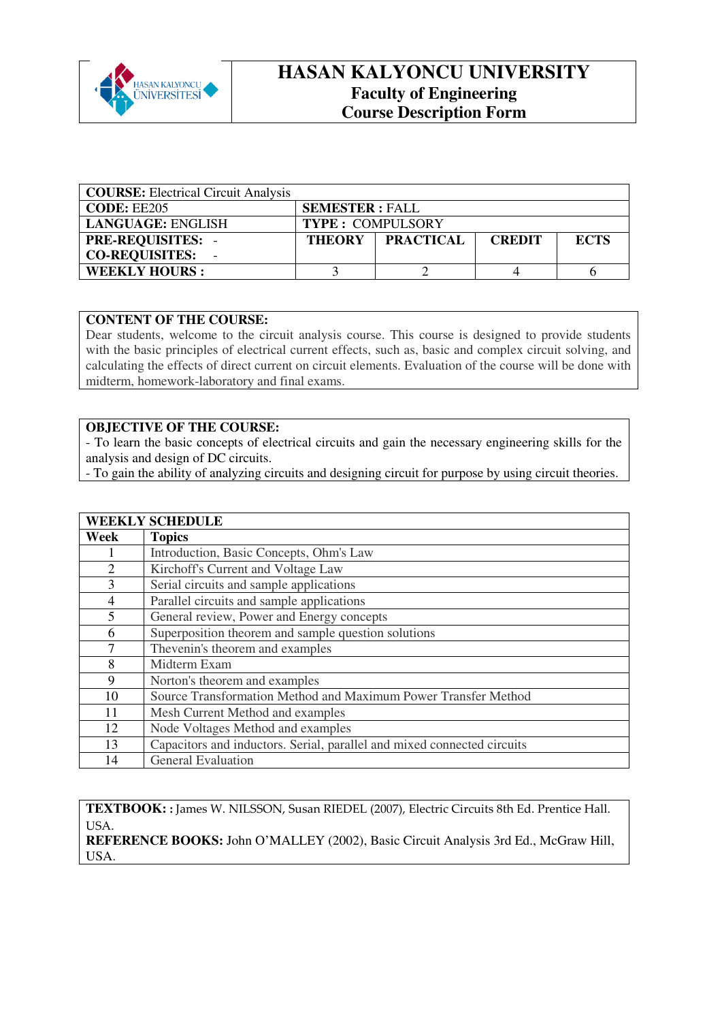

## **HASAN KALYONCU UNIVERSITY Faculty of Engineering Course Description Form**

| <b>COURSE:</b> Electrical Circuit Analysis |                         |                  |               |             |
|--------------------------------------------|-------------------------|------------------|---------------|-------------|
| CODE: EE205                                | <b>SEMESTER: FALL</b>   |                  |               |             |
| <b>LANGUAGE: ENGLISH</b>                   | <b>TYPE: COMPULSORY</b> |                  |               |             |
| <b>PRE-REQUISITES: -</b>                   | <b>THEORY</b>           | <b>PRACTICAL</b> | <b>CREDIT</b> | <b>ECTS</b> |
| <b>CO-REQUISITES:</b>                      |                         |                  |               |             |
| <b>WEEKLY HOURS:</b>                       |                         |                  |               |             |

## **CONTENT OF THE COURSE:**

Dear students, welcome to the circuit analysis course. This course is designed to provide students with the basic principles of electrical current effects, such as, basic and complex circuit solving, and calculating the effects of direct current on circuit elements. Evaluation of the course will be done with midterm, homework-laboratory and final exams.

## **OBJECTIVE OF THE COURSE:**

- To learn the basic concepts of electrical circuits and gain the necessary engineering skills for the analysis and design of DC circuits.

- To gain the ability of analyzing circuits and designing circuit for purpose by using circuit theories.

## **WEEKLY SCHEDULE**

| Week | <b>Topics</b>                                                           |  |  |
|------|-------------------------------------------------------------------------|--|--|
|      | Introduction, Basic Concepts, Ohm's Law                                 |  |  |
| 2    | Kirchoff's Current and Voltage Law                                      |  |  |
| 3    | Serial circuits and sample applications                                 |  |  |
| 4    | Parallel circuits and sample applications                               |  |  |
| 5    | General review, Power and Energy concepts                               |  |  |
| 6    | Superposition theorem and sample question solutions                     |  |  |
| 7    | Thevenin's theorem and examples                                         |  |  |
| 8    | Midterm Exam                                                            |  |  |
| 9    | Norton's theorem and examples                                           |  |  |
| 10   | Source Transformation Method and Maximum Power Transfer Method          |  |  |
| 11   | Mesh Current Method and examples                                        |  |  |
| 12   | Node Voltages Method and examples                                       |  |  |
| 13   | Capacitors and inductors. Serial, parallel and mixed connected circuits |  |  |
| 14   | <b>General Evaluation</b>                                               |  |  |

**TEXTBOOK: :** James W. NILSSON, Susan RIEDEL (2007), Electric Circuits 8th Ed. Prentice Hall. USA. **REFERENCE BOOKS:** John O'MALLEY (2002), Basic Circuit Analysis 3rd Ed., McGraw Hill, USA.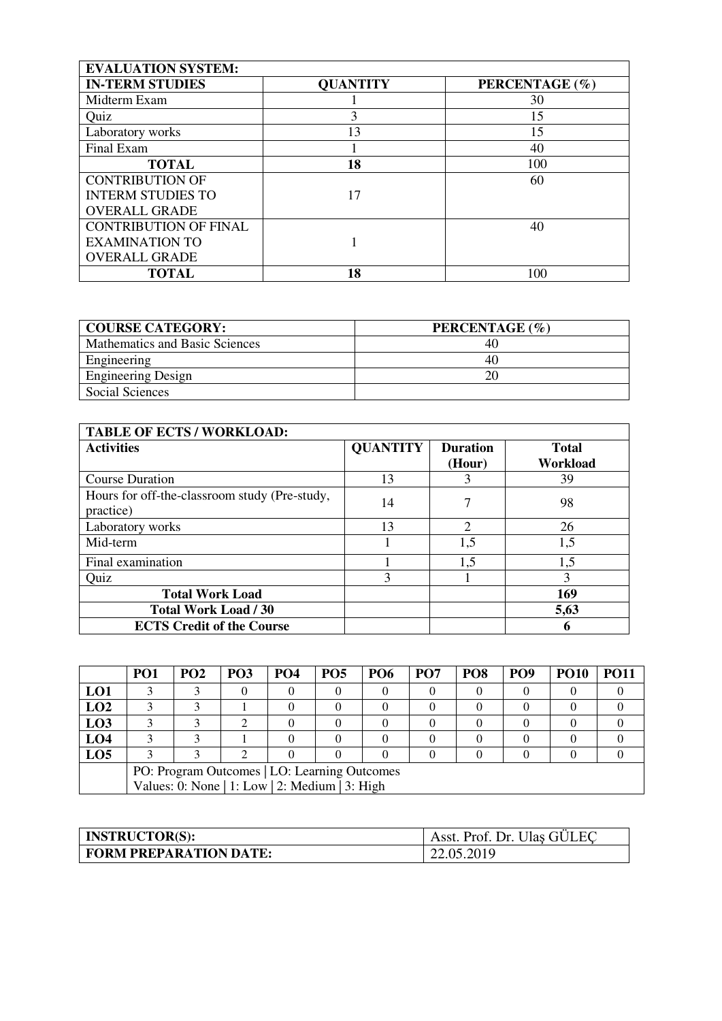| <b>EVALUATION SYSTEM:</b>    |                 |                |  |  |  |
|------------------------------|-----------------|----------------|--|--|--|
| <b>IN-TERM STUDIES</b>       | <b>QUANTITY</b> | PERCENTAGE (%) |  |  |  |
| Midterm Exam                 |                 | 30             |  |  |  |
| Quiz                         | 3               | 15             |  |  |  |
| Laboratory works             | 13              | 15             |  |  |  |
| Final Exam                   |                 | 40             |  |  |  |
| <b>TOTAL</b>                 | 18              | 100            |  |  |  |
| <b>CONTRIBUTION OF</b>       |                 | 60             |  |  |  |
| <b>INTERM STUDIES TO</b>     | 17              |                |  |  |  |
| <b>OVERALL GRADE</b>         |                 |                |  |  |  |
| <b>CONTRIBUTION OF FINAL</b> |                 | 40             |  |  |  |
| <b>EXAMINATION TO</b>        |                 |                |  |  |  |
| <b>OVERALL GRADE</b>         |                 |                |  |  |  |
| <b>TOTAL</b>                 | 18              | 100            |  |  |  |

| <b>COURSE CATEGORY:</b>        | PERCENTAGE (%) |
|--------------------------------|----------------|
| Mathematics and Basic Sciences | 40             |
| Engineering                    | 40             |
| <b>Engineering Design</b>      | 20             |
| Social Sciences                |                |

| <b>TABLE OF ECTS / WORKLOAD:</b>                           |                 |                           |                          |
|------------------------------------------------------------|-----------------|---------------------------|--------------------------|
| <b>Activities</b>                                          | <b>QUANTITY</b> | <b>Duration</b><br>(Hour) | <b>Total</b><br>Workload |
| <b>Course Duration</b>                                     | 13              |                           | 39                       |
| Hours for off-the-classroom study (Pre-study,<br>practice) | 14              |                           | 98                       |
| Laboratory works                                           | 13              | $\overline{2}$            | 26                       |
| Mid-term                                                   |                 | 1,5                       | 1,5                      |
| Final examination                                          |                 | 1,5                       | 1,5                      |
| Quiz                                                       | 3               |                           | 3                        |
| <b>Total Work Load</b>                                     |                 |                           | 169                      |
| <b>Total Work Load / 30</b>                                |                 |                           | 5,63                     |
| <b>ECTS Credit of the Course</b>                           |                 |                           | 6                        |

|                 | PO <sub>1</sub>                                | PO <sub>2</sub> | <b>PO3</b> | PO <sub>4</sub> | <b>PO5</b> | <b>PO6</b> | PO <sub>7</sub> | PO <sub>8</sub> | PO <sub>9</sub> | <b>PO10</b> | PO11 |
|-----------------|------------------------------------------------|-----------------|------------|-----------------|------------|------------|-----------------|-----------------|-----------------|-------------|------|
| LO1             |                                                |                 |            |                 |            |            |                 |                 |                 |             |      |
| LO2             |                                                |                 |            |                 |            |            |                 |                 |                 |             |      |
| LO3             |                                                |                 |            |                 |            |            |                 |                 |                 |             |      |
| LO4             |                                                |                 |            |                 |            |            |                 |                 |                 |             |      |
| LO <sub>5</sub> |                                                |                 |            |                 |            |            |                 |                 |                 |             |      |
|                 | PO: Program Outcomes   LO: Learning Outcomes   |                 |            |                 |            |            |                 |                 |                 |             |      |
|                 | Values: 0: None   1: Low   2: Medium   3: High |                 |            |                 |            |            |                 |                 |                 |             |      |

| <b>INSTRUCTOR(S):</b>         | Asst. Prof. Dr. Ulas GÜLEC |
|-------------------------------|----------------------------|
| <b>FORM PREPARATION DATE:</b> | 22.05.2019                 |